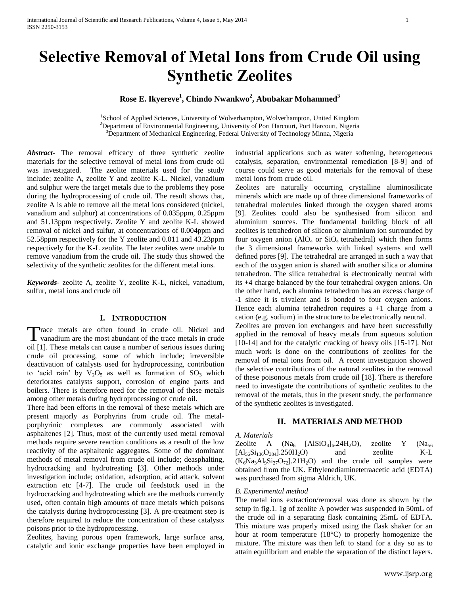# **Selective Removal of Metal Ions from Crude Oil using Synthetic Zeolites**

# **Rose E. Ikyereve<sup>1</sup> , Chindo Nwankwo<sup>2</sup> , Abubakar Mohammed<sup>3</sup>**

<sup>1</sup>School of Applied Sciences, University of Wolverhampton, Wolverhampton, United Kingdom <sup>2</sup>Department of Environmental Engineering, University of Port Harcourt, Port Harcourt, Nigeria <sup>3</sup>Department of Mechanical Engineering, Federal University of Technology Minna, Nigeria

*Abstract***-** The removal efficacy of three synthetic zeolite materials for the selective removal of metal ions from crude oil was investigated. The zeolite materials used for the study include; zeolite A, zeolite Y and zeolite K-L. Nickel, vanadium and sulphur were the target metals due to the problems they pose during the hydroprocessing of crude oil. The result shows that, zeolite A is able to remove all the metal ions considered (nickel, vanadium and sulphur) at concentrations of 0.035ppm, 0.25ppm and 51.13ppm respectively. Zeolite Y and zeolite K-L showed removal of nickel and sulfur, at concentrations of 0.004ppm and 52.58ppm respectively for the Y zeolite and 0.011 and 43.23ppm respectively for the K-L zeolite. The later zeolites were unable to remove vanadium from the crude oil. The study thus showed the selectivity of the synthetic zeolites for the different metal ions.

*Keywords*- zeolite A, zeolite Y, zeolite K-L, nickel, vanadium, sulfur, metal ions and crude oil

## **I. INTRODUCTION**

Trace metals are often found in crude oil. Nickel and Trace metals are often found in crude oil. Nickel and vanadium are the most abundant of the trace metals in crude oil [1]. These metals can cause a number of serious issues during crude oil processing, some of which include; irreversible deactivation of catalysts used for hydroprocessing, contribution to 'acid rain' by  $V_2O_5$  as well as formation of  $SO_3$  which deteriorates catalysts support, corrosion of engine parts and boilers. There is therefore need for the removal of these metals among other metals during hydroprocessing of crude oil.

There had been efforts in the removal of these metals which are present majorly as Porphyrins from crude oil. The metalporphyrinic complexes are commonly associated with asphaltenes [2]. Thus, most of the currently used metal removal methods require severe reaction conditions as a result of the low reactivity of the asphaltenic aggregates. Some of the dominant methods of metal removal from crude oil include; deasphalting, hydrocracking and hydrotreating [3]. Other methods under investigation include; oxidation, adsorption, acid attack, solvent extraction etc [4-7]. The crude oil feedstock used in the hydrocracking and hydrotreating which are the methods currently used, often contain high amounts of trace metals which poisons the catalysts during hydroprocessing [3]. A pre-treatment step is therefore required to reduce the concentration of these catalysts poisons prior to the hydroprocessing.

Zeolites, having porous open framework, large surface area, catalytic and ionic exchange properties have been employed in industrial applications such as water softening, heterogeneous catalysis, separation, environmental remediation [8-9] and of course could serve as good materials for the removal of these metal ions from crude oil.

Zeolites are naturally occurring crystalline aluminosilicate minerals which are made up of three dimensional frameworks of tetrahedral molecules linked through the oxygen shared atoms [9]. Zeolites could also be synthesised from silicon and aluminium sources. The fundamental building block of all zeolites is tetrahedron of silicon or aluminium ion surrounded by four oxygen anion  $(AlO<sub>4</sub>$  or  $SiO<sub>4</sub>$  tetrahedral) which then forms the 3 dimensional frameworks with linked systems and well defined pores [9]. The tetrahedral are arranged in such a way that each of the oxygen anion is shared with another silica or alumina tetrahedron. The silica tetrahedral is electronically neutral with its +4 charge balanced by the four tetrahedral oxygen anions. On the other hand, each alumina tetrahedron has an excess charge of -1 since it is trivalent and is bonded to four oxygen anions. Hence each alumina tetrahedron requires  $a + 1$  charge from a cation (e.g. sodium) in the structure to be electronically neutral.

Zeolites are proven ion exchangers and have been successfully applied in the removal of heavy metals from aqueous solution [10-14] and for the catalytic cracking of heavy oils [15-17]. Not much work is done on the contributions of zeolites for the removal of metal ions from oil. A recent investigation showed the selective contributions of the natural zeolites in the removal of these poisonous metals from crude oil [18]. There is therefore need to investigate the contributions of synthetic zeolites to the removal of the metals, thus in the present study, the performance of the synthetic zeolites is investigated.

## **II. MATERIALS AND METHOD**

*A. Materials*

Zeolite A  $(Na_6 \text{ [A}1\text{SiO}_4)_6.24\text{H}_2\text{O})$ , zeolite Y  $(Na_{56}$  $[A]_{56}Si_{136}O_{384}]$ .250H<sub>2</sub>O) and zeolite K-L  $(K_6Na_3Al_9Si_27O_{72}$ .  $21H_2O$  and the crude oil samples were obtained from the UK. Ethylenediaminetetraacetic acid (EDTA) was purchased from sigma Aldrich, UK.

#### *B. Experimental method*

The metal ions extraction/removal was done as shown by the setup in fig.1. 1g of zeolite A powder was suspended in 50mL of the crude oil in a separating flask containing 25mL of EDTA. This mixture was properly mixed using the flask shaker for an hour at room temperature (18°C) to properly homogenize the mixture. The mixture was then left to stand for a day so as to attain equilibrium and enable the separation of the distinct layers.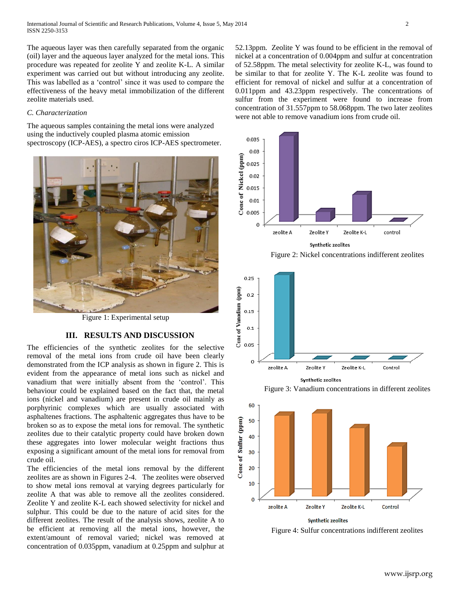The aqueous layer was then carefully separated from the organic (oil) layer and the aqueous layer analyzed for the metal ions. This procedure was repeated for zeolite Y and zeolite K-L. A similar experiment was carried out but without introducing any zeolite. This was labelled as a 'control' since it was used to compare the effectiveness of the heavy metal immobilization of the different zeolite materials used.

#### *C. Characterization*

The aqueous samples containing the metal ions were analyzed using the inductively coupled plasma atomic emission spectroscopy (ICP-AES), a spectro ciros ICP-AES spectrometer.



Figure 1: Experimental setup

# **III. RESULTS AND DISCUSSION**

The efficiencies of the synthetic zeolites for the selective removal of the metal ions from crude oil have been clearly demonstrated from the ICP analysis as shown in figure 2. This is evident from the appearance of metal ions such as nickel and vanadium that were initially absent from the 'control'. This behaviour could be explained based on the fact that, the metal ions (nickel and vanadium) are present in crude oil mainly as porphyrinic complexes which are usually associated with asphaltenes fractions. The asphaltenic aggregates thus have to be broken so as to expose the metal ions for removal. The synthetic zeolites due to their catalytic property could have broken down these aggregates into lower molecular weight fractions thus exposing a significant amount of the metal ions for removal from crude oil.

The efficiencies of the metal ions removal by the different zeolites are as shown in Figures 2-4. The zeolites were observed to show metal ions removal at varying degrees particularly for zeolite A that was able to remove all the zeolites considered. Zeolite Y and zeolite K-L each showed selectivity for nickel and sulphur. This could be due to the nature of acid sites for the different zeolites. The result of the analysis shows, zeolite A to be efficient at removing all the metal ions, however, the extent/amount of removal varied; nickel was removed at concentration of 0.035ppm, vanadium at 0.25ppm and sulphur at 52.13ppm. Zeolite Y was found to be efficient in the removal of nickel at a concentration of 0.004ppm and sulfur at concentration of 52.58ppm. The metal selectivity for zeolite K-L, was found to be similar to that for zeolite Y. The K-L zeolite was found to efficient for removal of nickel and sulfur at a concentration of 0.011ppm and 43.23ppm respectively. The concentrations of sulfur from the experiment were found to increase from concentration of 31.557ppm to 58.068ppm. The two later zeolites were not able to remove vanadium ions from crude oil.



Figure 2: Nickel concentrations indifferent zeolites



Synthetic zeolites

Figure 3: Vanadium concentrations in different zeolites



Figure 4: Sulfur concentrations indifferent zeolites